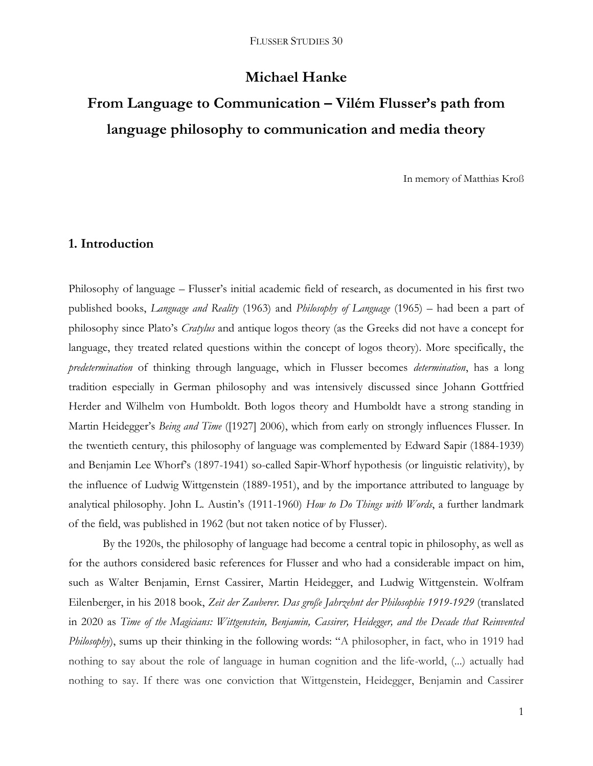# **Michael Hanke**

# **From Language to Communication – Vilém Flusser's path from language philosophy to communication and media theory**

In memory of Matthias Kroß

## **1. Introduction**

Philosophy of language – Flusser's initial academic field of research, as documented in his first two published books, *Language and Reality* (1963) and *Philosophy of Language* (1965) – had been a part of philosophy since Plato's *Cratylus* and antique logos theory (as the Greeks did not have a concept for language, they treated related questions within the concept of logos theory). More specifically, the *predetermination* of thinking through language, which in Flusser becomes *determination*, has a long tradition especially in German philosophy and was intensively discussed since Johann Gottfried Herder and Wilhelm von Humboldt. Both logos theory and Humboldt have a strong standing in Martin Heidegger's *Being and Time* ([1927] 2006), which from early on strongly influences Flusser. In the twentieth century, this philosophy of language was complemented by Edward Sapir (1884-1939) and Benjamin Lee Whorf's (1897-1941) so-called Sapir-Whorf hypothesis (or linguistic relativity), by the influence of Ludwig Wittgenstein (1889-1951), and by the importance attributed to language by analytical philosophy. John L. Austin's (1911-1960) *How to Do Things with Words*, a further landmark of the field, was published in 1962 (but not taken notice of by Flusser).

By the 1920s, the philosophy of language had become a central topic in philosophy, as well as for the authors considered basic references for Flusser and who had a considerable impact on him, such as Walter Benjamin, Ernst Cassirer, Martin Heidegger, and Ludwig Wittgenstein. Wolfram Eilenberger, in his 2018 book, *Zeit der Zauberer. Das große Jahrzehnt der Philosophie 1919-1929* (translated in 2020 as *Time of the Magicians: Wittgenstein, Benjamin, Cassirer, Heidegger, and the Decade that Reinvented Philosophy*), sums up their thinking in the following words: "A philosopher, in fact, who in 1919 had nothing to say about the role of language in human cognition and the life-world, (...) actually had nothing to say. If there was one conviction that Wittgenstein, Heidegger, Benjamin and Cassirer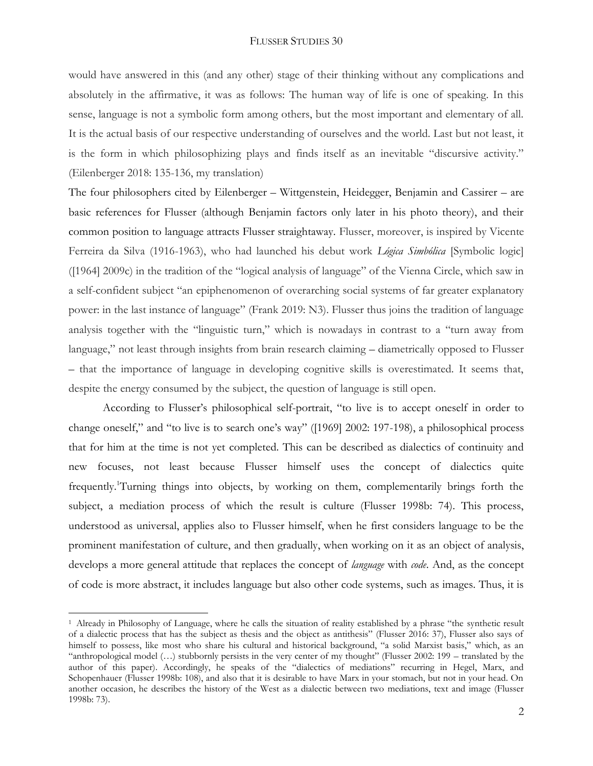would have answered in this (and any other) stage of their thinking without any complications and absolutely in the affirmative, it was as follows: The human way of life is one of speaking. In this sense, language is not a symbolic form among others, but the most important and elementary of all. It is the actual basis of our respective understanding of ourselves and the world. Last but not least, it is the form in which philosophizing plays and finds itself as an inevitable "discursive activity." (Eilenberger 2018: 135-136, my translation)

The four philosophers cited by Eilenberger – Wittgenstein, Heidegger, Benjamin and Cassirer – are basic references for Flusser (although Benjamin factors only later in his photo theory), and their common position to language attracts Flusser straightaway. Flusser, moreover, is inspired by Vicente Ferreira da Silva (1916-1963), who had launched his debut work *Lógica Simbólica* [Symbolic logic] ([1964] 2009c) in the tradition of the "logical analysis of language" of the Vienna Circle, which saw in a self-confident subject "an epiphenomenon of overarching social systems of far greater explanatory power: in the last instance of language" (Frank 2019: N3). Flusser thus joins the tradition of language analysis together with the "linguistic turn," which is nowadays in contrast to a "turn away from language," not least through insights from brain research claiming – diametrically opposed to Flusser – that the importance of language in developing cognitive skills is overestimated. It seems that, despite the energy consumed by the subject, the question of language is still open.

According to Flusser's philosophical self-portrait, "to live is to accept oneself in order to change oneself," and "to live is to search one's way" ([1969] 2002: 197-198), a philosophical process that for him at the time is not yet completed. This can be described as dialectics of continuity and new focuses, not least because Flusser himself uses the concept of dialectics quite frequently. <sup>1</sup>Turning things into objects, by working on them, complementarily brings forth the subject, a mediation process of which the result is culture (Flusser 1998b: 74). This process, understood as universal, applies also to Flusser himself, when he first considers language to be the prominent manifestation of culture, and then gradually, when working on it as an object of analysis, develops a more general attitude that replaces the concept of *language* with *code*. And, as the concept of code is more abstract, it includes language but also other code systems, such as images. Thus, it is

<sup>1</sup> Already in Philosophy of Language, where he calls the situation of reality established by a phrase "the synthetic result of a dialectic process that has the subject as thesis and the object as antithesis" (Flusser 2016: 37), Flusser also says of himself to possess, like most who share his cultural and historical background, "a solid Marxist basis," which, as an "anthropological model (…) stubbornly persists in the very center of my thought" (Flusser 2002: 199 – translated by the author of this paper). Accordingly, he speaks of the "dialectics of mediations" recurring in Hegel, Marx, and Schopenhauer (Flusser 1998b: 108), and also that it is desirable to have Marx in your stomach, but not in your head. On another occasion, he describes the history of the West as a dialectic between two mediations, text and image (Flusser 1998b: 73).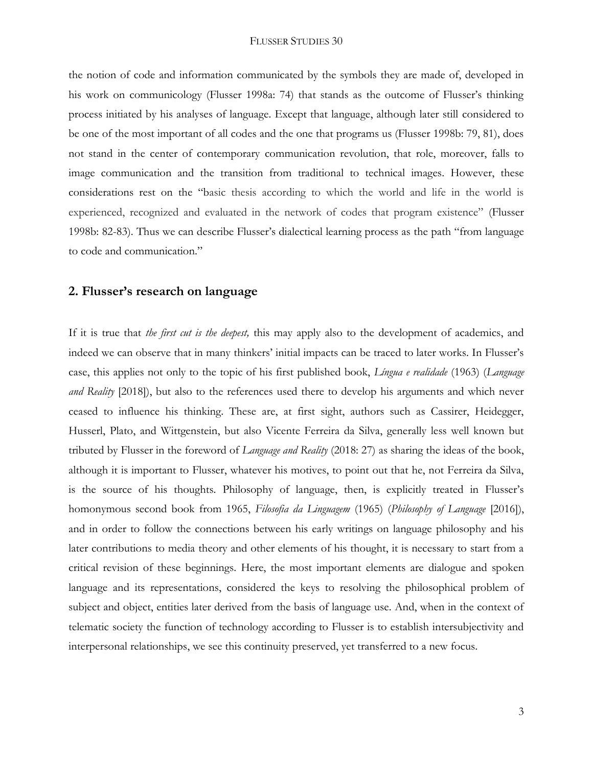the notion of code and information communicated by the symbols they are made of, developed in his work on communicology (Flusser 1998a: 74) that stands as the outcome of Flusser's thinking process initiated by his analyses of language. Except that language, although later still considered to be one of the most important of all codes and the one that programs us (Flusser 1998b: 79, 81), does not stand in the center of contemporary communication revolution, that role, moreover, falls to image communication and the transition from traditional to technical images. However, these considerations rest on the "basic thesis according to which the world and life in the world is experienced, recognized and evaluated in the network of codes that program existence" (Flusser 1998b: 82-83). Thus we can describe Flusser's dialectical learning process as the path "from language to code and communication."

### **2. Flusser's research on language**

If it is true that *the first cut is the deepest,* this may apply also to the development of academics, and indeed we can observe that in many thinkers' initial impacts can be traced to later works. In Flusser's case, this applies not only to the topic of his first published book, *Língua e realidade* (1963) (*Language and Reality* [2018]), but also to the references used there to develop his arguments and which never ceased to influence his thinking. These are, at first sight, authors such as Cassirer, Heidegger, Husserl, Plato, and Wittgenstein, but also Vicente Ferreira da Silva, generally less well known but tributed by Flusser in the foreword of *Language and Reality* (2018: 27) as sharing the ideas of the book, although it is important to Flusser, whatever his motives, to point out that he, not Ferreira da Silva, is the source of his thoughts. Philosophy of language, then, is explicitly treated in Flusser's homonymous second book from 1965, *Filosofia da Linguagem* (1965) (*Philosophy of Language* [2016]), and in order to follow the connections between his early writings on language philosophy and his later contributions to media theory and other elements of his thought, it is necessary to start from a critical revision of these beginnings. Here, the most important elements are dialogue and spoken language and its representations, considered the keys to resolving the philosophical problem of subject and object, entities later derived from the basis of language use. And, when in the context of telematic society the function of technology according to Flusser is to establish intersubjectivity and interpersonal relationships, we see this continuity preserved, yet transferred to a new focus.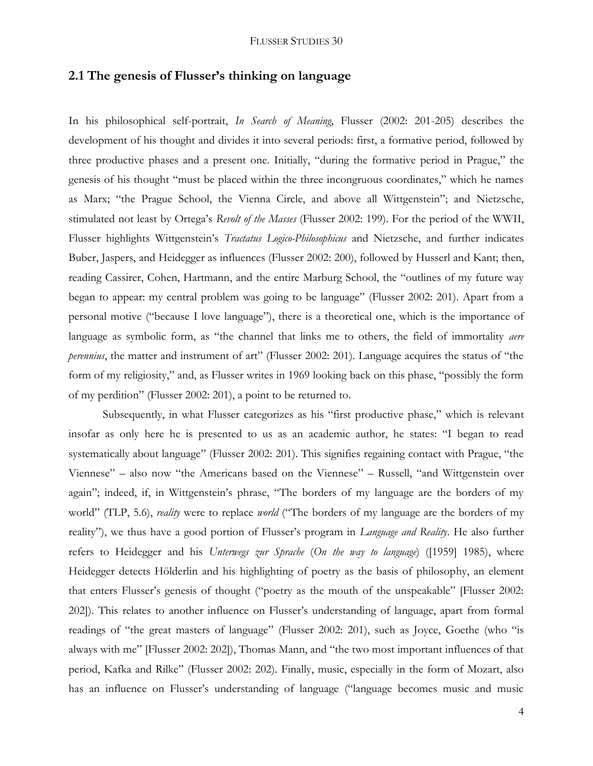# **2.1 The genesis of Flusser's thinking on language**

In his philosophical self-portrait, *In Search of Meaning*, Flusser (2002: 201-205) describes the development of his thought and divides it into several periods: first, a formative period, followed by three productive phases and a present one. Initially, "during the formative period in Prague," the genesis of his thought "must be placed within the three incongruous coordinates," which he names as Marx; "the Prague School, the Vienna Circle, and above all Wittgenstein"; and Nietzsche, stimulated not least by Ortega's *Revolt of the Masses* (Flusser 2002: 199). For the period of the WWII, Flusser highlights Wittgenstein's *Tractatus Logico-Philosophicus* and Nietzsche, and further indicates Buber, Jaspers, and Heidegger as influences (Flusser 2002: 200), followed by Husserl and Kant; then, reading Cassirer, Cohen, Hartmann, and the entire Marburg School, the "outlines of my future way began to appear: my central problem was going to be language" (Flusser 2002: 201). Apart from a personal motive ("because I love language"), there is a theoretical one, which is the importance of language as symbolic form, as "the channel that links me to others, the field of immortality *aere perennius*, the matter and instrument of art" (Flusser 2002: 201). Language acquires the status of "the form of my religiosity," and, as Flusser writes in 1969 looking back on this phase, "possibly the form of my perdition" (Flusser 2002: 201), a point to be returned to.

Subsequently, in what Flusser categorizes as his "first productive phase," which is relevant insofar as only here he is presented to us as an academic author, he states: "I began to read systematically about language" (Flusser 2002: 201). This signifies regaining contact with Prague, "the Viennese" – also now "the Americans based on the Viennese" – Russell, "and Wittgenstein over again"; indeed, if, in Wittgenstein's phrase, "The borders of my language are the borders of my world" (TLP, 5.6), *reality* were to replace *world* ("The borders of my language are the borders of my reality"), we thus have a good portion of Flusser's program in *Language and Reality*. He also further refers to Heidegger and his *Unterwegs zur Sprache* (*On the way to language*) ([1959] 1985), where Heidegger detects Hölderlin and his highlighting of poetry as the basis of philosophy, an element that enters Flusser's genesis of thought ("poetry as the mouth of the unspeakable" [Flusser 2002: 202]). This relates to another influence on Flusser's understanding of language, apart from formal readings of "the great masters of language" (Flusser 2002: 201), such as Joyce, Goethe (who "is always with me" [Flusser 2002: 202]), Thomas Mann, and "the two most important influences of that period, Kafka and Rilke" (Flusser 2002: 202). Finally, music, especially in the form of Mozart, also has an influence on Flusser's understanding of language ("language becomes music and music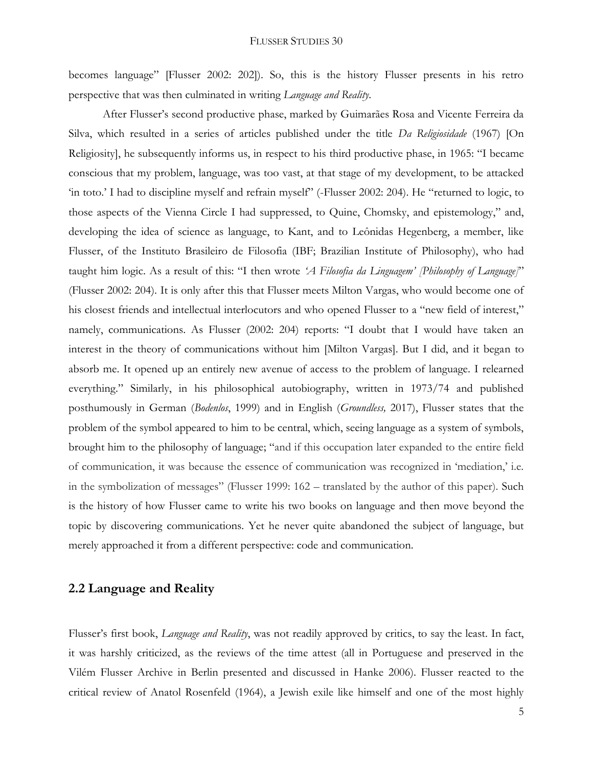becomes language" [Flusser 2002: 202]). So, this is the history Flusser presents in his retro perspective that was then culminated in writing *Language and Reality*.

After Flusser's second productive phase, marked by Guimarães Rosa and Vicente Ferreira da Silva, which resulted in a series of articles published under the title *Da Religiosidade* (1967) [On Religiosity], he subsequently informs us, in respect to his third productive phase, in 1965: "I became conscious that my problem, language, was too vast, at that stage of my development, to be attacked 'in toto.' I had to discipline myself and refrain myself" (-Flusser 2002: 204). He "returned to logic, to those aspects of the Vienna Circle I had suppressed, to Quine, Chomsky, and epistemology," and, developing the idea of science as language, to Kant, and to Leônidas Hegenberg, a member, like Flusser, of the Instituto Brasileiro de Filosofia (IBF; Brazilian Institute of Philosophy), who had taught him logic. As a result of this: "I then wrote *'A Filosofia da Linguagem' [Philosophy of Language]*" (Flusser 2002: 204). It is only after this that Flusser meets Milton Vargas, who would become one of his closest friends and intellectual interlocutors and who opened Flusser to a "new field of interest," namely, communications. As Flusser (2002: 204) reports: "I doubt that I would have taken an interest in the theory of communications without him [Milton Vargas]. But I did, and it began to absorb me. It opened up an entirely new avenue of access to the problem of language. I relearned everything." Similarly, in his philosophical autobiography, written in 1973/74 and published posthumously in German (*Bodenlos*, 1999) and in English (*Groundless,* 2017), Flusser states that the problem of the symbol appeared to him to be central, which, seeing language as a system of symbols, brought him to the philosophy of language; "and if this occupation later expanded to the entire field of communication, it was because the essence of communication was recognized in 'mediation,' i.e. in the symbolization of messages" (Flusser 1999: 162 – translated by the author of this paper). Such is the history of how Flusser came to write his two books on language and then move beyond the topic by discovering communications. Yet he never quite abandoned the subject of language, but merely approached it from a different perspective: code and communication.

### **2.2 Language and Reality**

Flusser's first book, *Language and Reality*, was not readily approved by critics, to say the least. In fact, it was harshly criticized, as the reviews of the time attest (all in Portuguese and preserved in the Vilém Flusser Archive in Berlin presented and discussed in Hanke 2006). Flusser reacted to the critical review of Anatol Rosenfeld (1964), a Jewish exile like himself and one of the most highly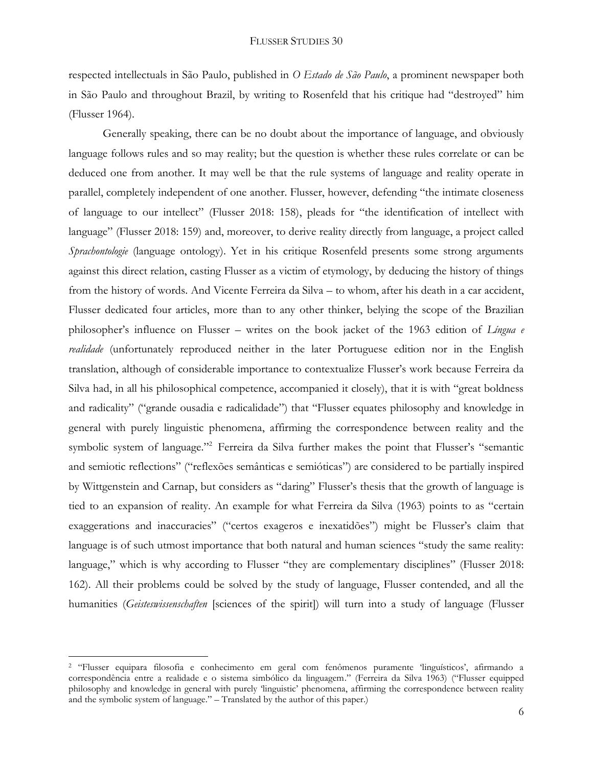respected intellectuals in São Paulo, published in *O Estado de São Paulo*, a prominent newspaper both in São Paulo and throughout Brazil, by writing to Rosenfeld that his critique had "destroyed" him (Flusser 1964).

Generally speaking, there can be no doubt about the importance of language, and obviously language follows rules and so may reality; but the question is whether these rules correlate or can be deduced one from another. It may well be that the rule systems of language and reality operate in parallel, completely independent of one another. Flusser, however, defending "the intimate closeness of language to our intellect" (Flusser 2018: 158), pleads for "the identification of intellect with language" (Flusser 2018: 159) and, moreover, to derive reality directly from language, a project called *Sprachontologie* (language ontology). Yet in his critique Rosenfeld presents some strong arguments against this direct relation, casting Flusser as a victim of etymology, by deducing the history of things from the history of words. And Vicente Ferreira da Silva – to whom, after his death in a car accident, Flusser dedicated four articles, more than to any other thinker, belying the scope of the Brazilian philosopher's influence on Flusser – writes on the book jacket of the 1963 edition of *Língua e realidade* (unfortunately reproduced neither in the later Portuguese edition nor in the English translation, although of considerable importance to contextualize Flusser's work because Ferreira da Silva had, in all his philosophical competence, accompanied it closely), that it is with "great boldness and radicality" ("grande ousadia e radicalidade") that "Flusser equates philosophy and knowledge in general with purely linguistic phenomena, affirming the correspondence between reality and the symbolic system of language."<sup>2</sup> Ferreira da Silva further makes the point that Flusser's "semantic and semiotic reflections" ("reflexões semânticas e semióticas") are considered to be partially inspired by Wittgenstein and Carnap, but considers as "daring" Flusser's thesis that the growth of language is tied to an expansion of reality. An example for what Ferreira da Silva (1963) points to as "certain exaggerations and inaccuracies" ("certos exageros e inexatidões") might be Flusser's claim that language is of such utmost importance that both natural and human sciences "study the same reality: language," which is why according to Flusser "they are complementary disciplines" (Flusser 2018: 162). All their problems could be solved by the study of language, Flusser contended, and all the humanities (*Geisteswissenschaften* [sciences of the spirit]) will turn into a study of language (Flusser

<sup>2</sup> "Flusser equipara filosofia e conhecimento em geral com fenômenos puramente 'linguísticos', afirmando a correspondência entre a realidade e o sistema simbólico da linguagem." (Ferreira da Silva 1963) ("Flusser equipped philosophy and knowledge in general with purely 'linguistic' phenomena, affirming the correspondence between reality and the symbolic system of language." – Translated by the author of this paper.)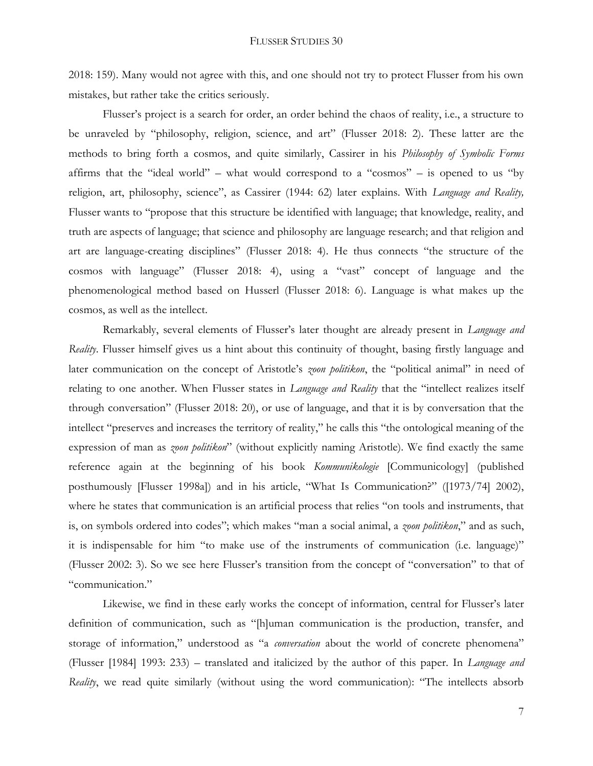2018: 159). Many would not agree with this, and one should not try to protect Flusser from his own mistakes, but rather take the critics seriously.

Flusser's project is a search for order, an order behind the chaos of reality, i.e., a structure to be unraveled by "philosophy, religion, science, and art" (Flusser 2018: 2). These latter are the methods to bring forth a cosmos, and quite similarly, Cassirer in his *Philosophy of Symbolic Forms* affirms that the "ideal world" – what would correspond to a "cosmos" – is opened to us "by religion, art, philosophy, science", as Cassirer (1944: 62) later explains. With *Language and Reality,* Flusser wants to "propose that this structure be identified with language; that knowledge, reality, and truth are aspects of language; that science and philosophy are language research; and that religion and art are language-creating disciplines" (Flusser 2018: 4). He thus connects "the structure of the cosmos with language" (Flusser 2018: 4), using a "vast" concept of language and the phenomenological method based on Husserl (Flusser 2018: 6). Language is what makes up the cosmos, as well as the intellect.

Remarkably, several elements of Flusser's later thought are already present in *Language and Reality*. Flusser himself gives us a hint about this continuity of thought, basing firstly language and later communication on the concept of Aristotle's *zoon politikon*, the "political animal" in need of relating to one another. When Flusser states in *Language and Reality* that the "intellect realizes itself through conversation" (Flusser 2018: 20), or use of language, and that it is by conversation that the intellect "preserves and increases the territory of reality," he calls this "the ontological meaning of the expression of man as *zoon politikon*" (without explicitly naming Aristotle). We find exactly the same reference again at the beginning of his book *Kommunikologie* [Communicology] (published posthumously [Flusser 1998a]) and in his article, "What Is Communication?" ([1973/74] 2002), where he states that communication is an artificial process that relies "on tools and instruments, that is, on symbols ordered into codes"; which makes "man a social animal, a *zoon politikon*," and as such, it is indispensable for him "to make use of the instruments of communication (i.e. language)" (Flusser 2002: 3). So we see here Flusser's transition from the concept of "conversation" to that of "communication."

Likewise, we find in these early works the concept of information, central for Flusser's later definition of communication, such as "[h]uman communication is the production, transfer, and storage of information," understood as "a *conversation* about the world of concrete phenomena" (Flusser [1984] 1993: 233) – translated and italicized by the author of this paper. In *Language and Reality*, we read quite similarly (without using the word communication): "The intellects absorb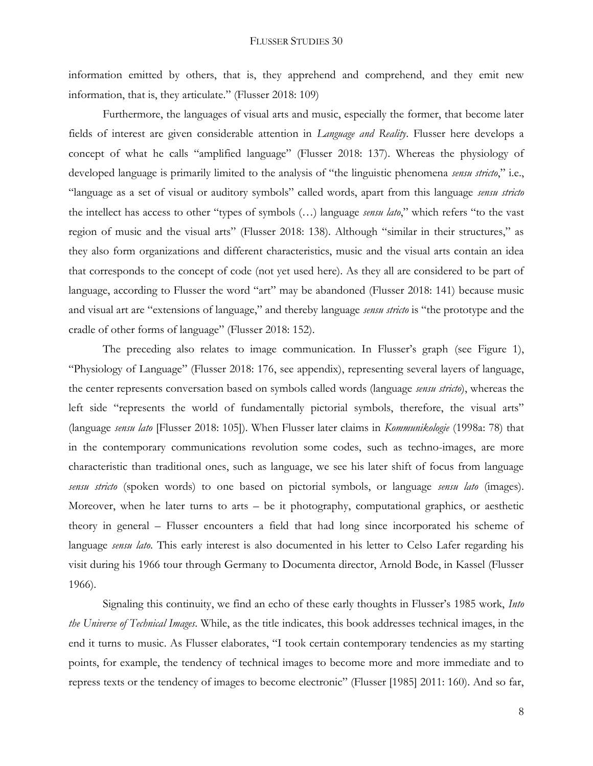information emitted by others, that is, they apprehend and comprehend, and they emit new information, that is, they articulate." (Flusser 2018: 109)

Furthermore, the languages of visual arts and music, especially the former, that become later fields of interest are given considerable attention in *Language and Reality*. Flusser here develops a concept of what he calls "amplified language" (Flusser 2018: 137). Whereas the physiology of developed language is primarily limited to the analysis of "the linguistic phenomena *sensu stricto*," i.e., "language as a set of visual or auditory symbols" called words, apart from this language *sensu stricto* the intellect has access to other "types of symbols (…) language *sensu lato*," which refers "to the vast region of music and the visual arts" (Flusser 2018: 138). Although "similar in their structures," as they also form organizations and different characteristics, music and the visual arts contain an idea that corresponds to the concept of code (not yet used here). As they all are considered to be part of language, according to Flusser the word "art" may be abandoned (Flusser 2018: 141) because music and visual art are "extensions of language," and thereby language *sensu stricto* is "the prototype and the cradle of other forms of language" (Flusser 2018: 152).

The preceding also relates to image communication. In Flusser's graph (see Figure 1), "Physiology of Language" (Flusser 2018: 176, see appendix), representing several layers of language, the center represents conversation based on symbols called words (language *sensu stricto*), whereas the left side "represents the world of fundamentally pictorial symbols, therefore, the visual arts" (language *sensu lato* [Flusser 2018: 105]). When Flusser later claims in *Kommunikologie* (1998a: 78) that in the contemporary communications revolution some codes, such as techno-images, are more characteristic than traditional ones, such as language, we see his later shift of focus from language *sensu stricto* (spoken words) to one based on pictorial symbols, or language *sensu lato* (images). Moreover, when he later turns to arts – be it photography, computational graphics, or aesthetic theory in general – Flusser encounters a field that had long since incorporated his scheme of language *sensu lato*. This early interest is also documented in his letter to Celso Lafer regarding his visit during his 1966 tour through Germany to Documenta director, Arnold Bode, in Kassel (Flusser 1966).

Signaling this continuity, we find an echo of these early thoughts in Flusser's 1985 work, *Into the Universe of Technical Images*. While, as the title indicates, this book addresses technical images, in the end it turns to music. As Flusser elaborates, "I took certain contemporary tendencies as my starting points, for example, the tendency of technical images to become more and more immediate and to repress texts or the tendency of images to become electronic" (Flusser [1985] 2011: 160). And so far,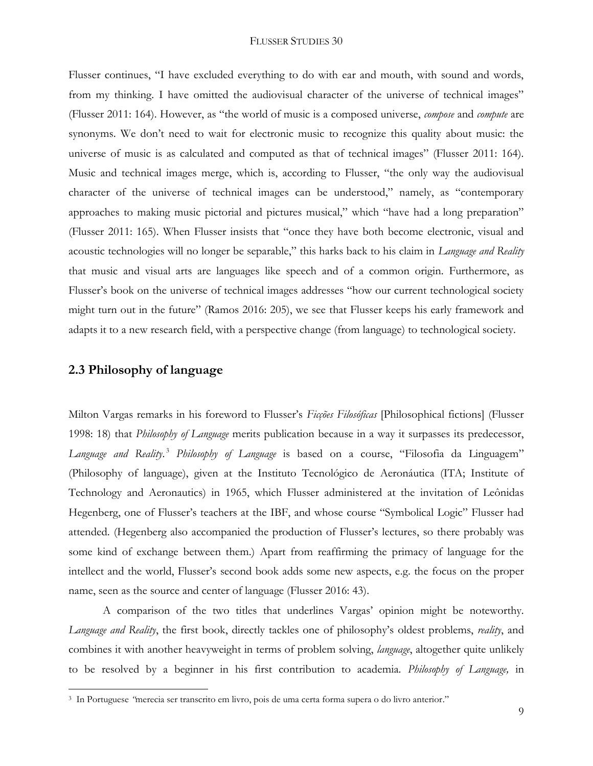Flusser continues, "I have excluded everything to do with ear and mouth, with sound and words, from my thinking. I have omitted the audiovisual character of the universe of technical images" (Flusser 2011: 164). However, as "the world of music is a composed universe, *compose* and *compute* are synonyms. We don't need to wait for electronic music to recognize this quality about music: the universe of music is as calculated and computed as that of technical images" (Flusser 2011: 164). Music and technical images merge, which is, according to Flusser, "the only way the audiovisual character of the universe of technical images can be understood," namely, as "contemporary approaches to making music pictorial and pictures musical," which "have had a long preparation" (Flusser 2011: 165). When Flusser insists that "once they have both become electronic, visual and acoustic technologies will no longer be separable," this harks back to his claim in *Language and Reality* that music and visual arts are languages like speech and of a common origin. Furthermore, as Flusser's book on the universe of technical images addresses "how our current technological society might turn out in the future" (Ramos 2016: 205), we see that Flusser keeps his early framework and adapts it to a new research field, with a perspective change (from language) to technological society.

### **2.3 Philosophy of language**

 $\overline{a}$ 

Milton Vargas remarks in his foreword to Flusser's *Ficções Filosóficas* [Philosophical fictions] (Flusser 1998: 18) that *Philosophy of Language* merits publication because in a way it surpasses its predecessor, *Language and Reality*. <sup>3</sup> *Philosophy of Language* is based on a course, "Filosofia da Linguagem" (Philosophy of language), given at the Instituto Tecnológico de Aeronáutica (ITA; Institute of Technology and Aeronautics) in 1965, which Flusser administered at the invitation of Leônidas Hegenberg, one of Flusser's teachers at the IBF, and whose course "Symbolical Logic" Flusser had attended. (Hegenberg also accompanied the production of Flusser's lectures, so there probably was some kind of exchange between them.) Apart from reaffirming the primacy of language for the intellect and the world, Flusser's second book adds some new aspects, e.g. the focus on the proper name, seen as the source and center of language (Flusser 2016: 43).

A comparison of the two titles that underlines Vargas' opinion might be noteworthy. *Language and Reality*, the first book, directly tackles one of philosophy's oldest problems, *reality*, and combines it with another heavyweight in terms of problem solving, *language*, altogether quite unlikely to be resolved by a beginner in his first contribution to academia. *Philosophy of Language,* in

<sup>3</sup> In Portuguese *"*merecia ser transcrito em livro, pois de uma certa forma supera o do livro anterior."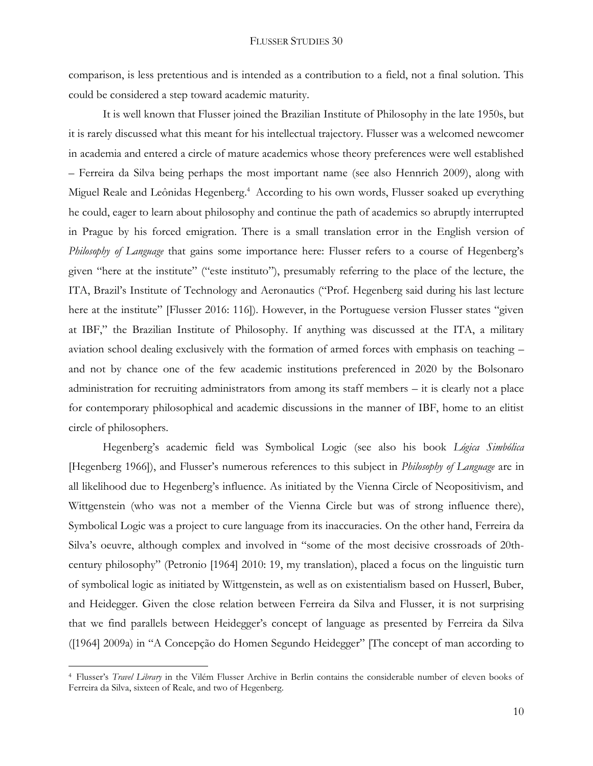comparison, is less pretentious and is intended as a contribution to a field, not a final solution. This could be considered a step toward academic maturity.

It is well known that Flusser joined the Brazilian Institute of Philosophy in the late 1950s, but it is rarely discussed what this meant for his intellectual trajectory. Flusser was a welcomed newcomer in academia and entered a circle of mature academics whose theory preferences were well established – Ferreira da Silva being perhaps the most important name (see also Hennrich 2009), along with Miguel Reale and Leônidas Hegenberg. <sup>4</sup> According to his own words, Flusser soaked up everything he could, eager to learn about philosophy and continue the path of academics so abruptly interrupted in Prague by his forced emigration. There is a small translation error in the English version of *Philosophy of Language* that gains some importance here: Flusser refers to a course of Hegenberg's given "here at the institute" ("este instituto"), presumably referring to the place of the lecture, the ITA, Brazil's Institute of Technology and Aeronautics ("Prof. Hegenberg said during his last lecture here at the institute" [Flusser 2016: 116]). However, in the Portuguese version Flusser states "given at IBF," the Brazilian Institute of Philosophy. If anything was discussed at the ITA, a military aviation school dealing exclusively with the formation of armed forces with emphasis on teaching – and not by chance one of the few academic institutions preferenced in 2020 by the Bolsonaro administration for recruiting administrators from among its staff members – it is clearly not a place for contemporary philosophical and academic discussions in the manner of IBF, home to an elitist circle of philosophers.

Hegenberg's academic field was Symbolical Logic (see also his book *Lógica Simbólica* [Hegenberg 1966]), and Flusser's numerous references to this subject in *Philosophy of Language* are in all likelihood due to Hegenberg's influence. As initiated by the Vienna Circle of Neopositivism, and Wittgenstein (who was not a member of the Vienna Circle but was of strong influence there), Symbolical Logic was a project to cure language from its inaccuracies. On the other hand, Ferreira da Silva's oeuvre, although complex and involved in "some of the most decisive crossroads of 20thcentury philosophy" (Petronio [1964] 2010: 19, my translation), placed a focus on the linguistic turn of symbolical logic as initiated by Wittgenstein, as well as on existentialism based on Husserl, Buber, and Heidegger. Given the close relation between Ferreira da Silva and Flusser, it is not surprising that we find parallels between Heidegger's concept of language as presented by Ferreira da Silva ([1964] 2009a) in "A Concepção do Homen Segundo Heidegger" [The concept of man according to

<sup>4</sup> Flusser's *Travel Library* in the Vilém Flusser Archive in Berlin contains the considerable number of eleven books of Ferreira da Silva, sixteen of Reale, and two of Hegenberg.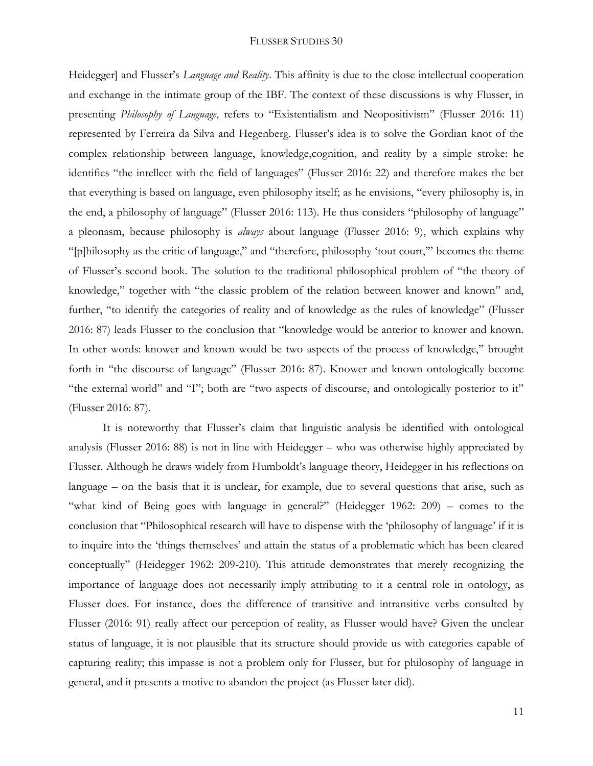Heidegger] and Flusser's *Language and Reality*. This affinity is due to the close intellectual cooperation and exchange in the intimate group of the IBF. The context of these discussions is why Flusser, in presenting *Philosophy of Language*, refers to "Existentialism and Neopositivism" (Flusser 2016: 11) represented by Ferreira da Silva and Hegenberg. Flusser's idea is to solve the Gordian knot of the complex relationship between language, knowledge,cognition, and reality by a simple stroke: he identifies "the intellect with the field of languages" (Flusser 2016: 22) and therefore makes the bet that everything is based on language, even philosophy itself; as he envisions, "every philosophy is, in the end, a philosophy of language" (Flusser 2016: 113). He thus considers "philosophy of language" a pleonasm, because philosophy is *always* about language (Flusser 2016: 9), which explains why "[p]hilosophy as the critic of language," and "therefore, philosophy 'tout court,'" becomes the theme of Flusser's second book. The solution to the traditional philosophical problem of "the theory of knowledge," together with "the classic problem of the relation between knower and known" and, further, "to identify the categories of reality and of knowledge as the rules of knowledge" (Flusser 2016: 87) leads Flusser to the conclusion that "knowledge would be anterior to knower and known. In other words: knower and known would be two aspects of the process of knowledge," brought forth in "the discourse of language" (Flusser 2016: 87). Knower and known ontologically become "the external world" and "I"; both are "two aspects of discourse, and ontologically posterior to it" (Flusser 2016: 87).

It is noteworthy that Flusser's claim that linguistic analysis be identified with ontological analysis (Flusser 2016: 88) is not in line with Heidegger – who was otherwise highly appreciated by Flusser. Although he draws widely from Humboldt's language theory, Heidegger in his reflections on language – on the basis that it is unclear, for example, due to several questions that arise, such as "what kind of Being goes with language in general?" (Heidegger 1962: 209) – comes to the conclusion that "Philosophical research will have to dispense with the 'philosophy of language' if it is to inquire into the 'things themselves' and attain the status of a problematic which has been cleared conceptually" (Heidegger 1962: 209-210). This attitude demonstrates that merely recognizing the importance of language does not necessarily imply attributing to it a central role in ontology, as Flusser does. For instance, does the difference of transitive and intransitive verbs consulted by Flusser (2016: 91) really affect our perception of reality, as Flusser would have? Given the unclear status of language, it is not plausible that its structure should provide us with categories capable of capturing reality; this impasse is not a problem only for Flusser, but for philosophy of language in general, and it presents a motive to abandon the project (as Flusser later did).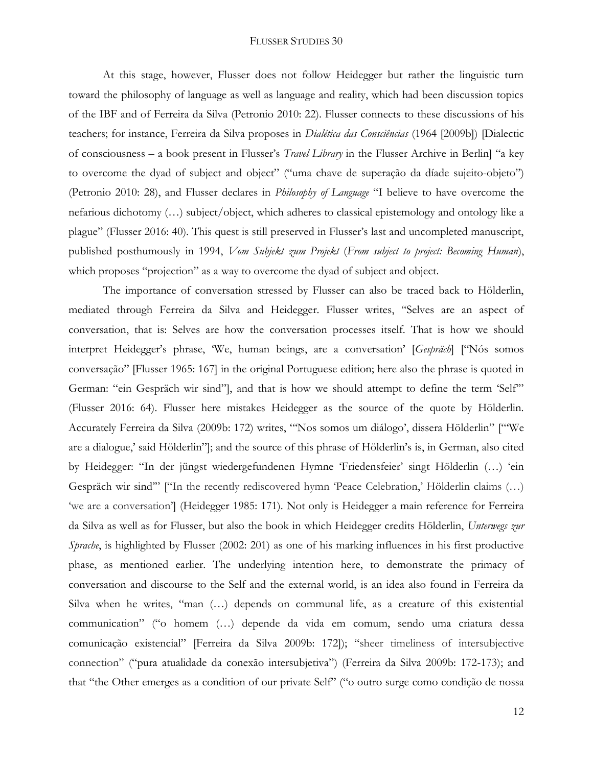At this stage, however, Flusser does not follow Heidegger but rather the linguistic turn toward the philosophy of language as well as language and reality, which had been discussion topics of the IBF and of Ferreira da Silva (Petronio 2010: 22). Flusser connects to these discussions of his teachers; for instance, Ferreira da Silva proposes in *Dialética das Consciências* (1964 [2009b]) [Dialectic of consciousness – a book present in Flusser's *Travel Library* in the Flusser Archive in Berlin] "a key to overcome the dyad of subject and object" ("uma chave de superação da díade sujeito-objeto") (Petronio 2010: 28), and Flusser declares in *Philosophy of Language* "I believe to have overcome the nefarious dichotomy (…) subject/object, which adheres to classical epistemology and ontology like a plague" (Flusser 2016: 40). This quest is still preserved in Flusser's last and uncompleted manuscript, published posthumously in 1994, *Vom Subjekt zum Projekt* (*From subject to project: Becoming Human*), which proposes "projection" as a way to overcome the dyad of subject and object.

The importance of conversation stressed by Flusser can also be traced back to Hölderlin, mediated through Ferreira da Silva and Heidegger. Flusser writes, "Selves are an aspect of conversation, that is: Selves are how the conversation processes itself. That is how we should interpret Heidegger's phrase, 'We, human beings, are a conversation' [*Gespräch*] ["Nós somos conversação" [Flusser 1965: 167] in the original Portuguese edition; here also the phrase is quoted in German: "ein Gespräch wir sind"], and that is how we should attempt to define the term 'Self'" (Flusser 2016: 64). Flusser here mistakes Heidegger as the source of the quote by Hölderlin. Accurately Ferreira da Silva (2009b: 172) writes, "'Nos somos um diálogo', dissera Hölderlin" ["'We are a dialogue,' said Hölderlin"]; and the source of this phrase of Hölderlin's is, in German, also cited by Heidegger: "In der jüngst wiedergefundenen Hymne 'Friedensfeier' singt Hölderlin (…) 'ein Gespräch wir sind'" ["In the recently rediscovered hymn 'Peace Celebration,' Hölderlin claims (…) 'we are a conversation'] (Heidegger 1985: 171). Not only is Heidegger a main reference for Ferreira da Silva as well as for Flusser, but also the book in which Heidegger credits Hölderlin, *Unterwegs zur Sprache*, is highlighted by Flusser (2002: 201) as one of his marking influences in his first productive phase, as mentioned earlier. The underlying intention here, to demonstrate the primacy of conversation and discourse to the Self and the external world, is an idea also found in Ferreira da Silva when he writes, "man (…) depends on communal life, as a creature of this existential communication" ("o homem (…) depende da vida em comum, sendo uma criatura dessa comunicação existencial" [Ferreira da Silva 2009b: 172]); "sheer timeliness of intersubjective connection" ("pura atualidade da conexão intersubjetiva") (Ferreira da Silva 2009b: 172-173); and that "the Other emerges as a condition of our private Self" ("o outro surge como condição de nossa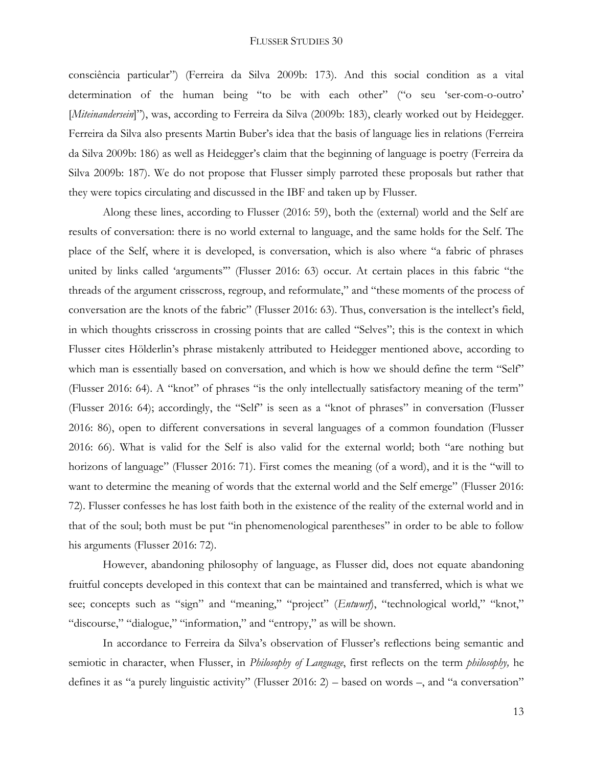consciência particular") (Ferreira da Silva 2009b: 173). And this social condition as a vital determination of the human being "to be with each other" ("o seu 'ser-com-o-outro' [*Miteinandersein*]"), was, according to Ferreira da Silva (2009b: 183), clearly worked out by Heidegger. Ferreira da Silva also presents Martin Buber's idea that the basis of language lies in relations (Ferreira da Silva 2009b: 186) as well as Heidegger's claim that the beginning of language is poetry (Ferreira da Silva 2009b: 187). We do not propose that Flusser simply parroted these proposals but rather that they were topics circulating and discussed in the IBF and taken up by Flusser.

Along these lines, according to Flusser (2016: 59), both the (external) world and the Self are results of conversation: there is no world external to language, and the same holds for the Self. The place of the Self, where it is developed, is conversation, which is also where "a fabric of phrases united by links called 'arguments'" (Flusser 2016: 63) occur. At certain places in this fabric "the threads of the argument crisscross, regroup, and reformulate," and "these moments of the process of conversation are the knots of the fabric" (Flusser 2016: 63). Thus, conversation is the intellect's field, in which thoughts crisscross in crossing points that are called "Selves"; this is the context in which Flusser cites Hölderlin's phrase mistakenly attributed to Heidegger mentioned above, according to which man is essentially based on conversation, and which is how we should define the term "Self" (Flusser 2016: 64). A "knot" of phrases "is the only intellectually satisfactory meaning of the term" (Flusser 2016: 64); accordingly, the "Self" is seen as a "knot of phrases" in conversation (Flusser 2016: 86), open to different conversations in several languages of a common foundation (Flusser 2016: 66). What is valid for the Self is also valid for the external world; both "are nothing but horizons of language" (Flusser 2016: 71). First comes the meaning (of a word), and it is the "will to want to determine the meaning of words that the external world and the Self emerge" (Flusser 2016: 72). Flusser confesses he has lost faith both in the existence of the reality of the external world and in that of the soul; both must be put "in phenomenological parentheses" in order to be able to follow his arguments (Flusser 2016: 72).

However, abandoning philosophy of language, as Flusser did, does not equate abandoning fruitful concepts developed in this context that can be maintained and transferred, which is what we see; concepts such as "sign" and "meaning," "project" (*Entwurf*), "technological world," "knot," "discourse," "dialogue," "information," and "entropy," as will be shown.

In accordance to Ferreira da Silva's observation of Flusser's reflections being semantic and semiotic in character, when Flusser, in *Philosophy of Language*, first reflects on the term *philosophy,* he defines it as "a purely linguistic activity" (Flusser 2016: 2) – based on words –, and "a conversation"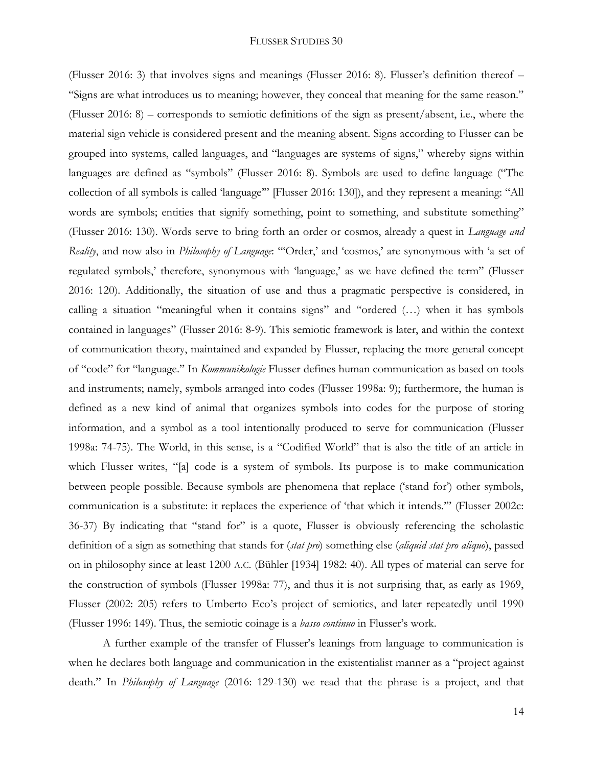(Flusser 2016: 3) that involves signs and meanings (Flusser 2016: 8). Flusser's definition thereof – "Signs are what introduces us to meaning; however, they conceal that meaning for the same reason." (Flusser 2016: 8) – corresponds to semiotic definitions of the sign as present/absent, i.e., where the material sign vehicle is considered present and the meaning absent. Signs according to Flusser can be grouped into systems, called languages, and "languages are systems of signs," whereby signs within languages are defined as "symbols" (Flusser 2016: 8). Symbols are used to define language ("The collection of all symbols is called 'language'" [Flusser 2016: 130]), and they represent a meaning: "All words are symbols; entities that signify something, point to something, and substitute something" (Flusser 2016: 130). Words serve to bring forth an order or cosmos, already a quest in *Language and Reality*, and now also in *Philosophy of Language*: "'Order,' and 'cosmos,' are synonymous with 'a set of regulated symbols,' therefore, synonymous with 'language,' as we have defined the term" (Flusser 2016: 120). Additionally, the situation of use and thus a pragmatic perspective is considered, in calling a situation "meaningful when it contains signs" and "ordered (…) when it has symbols contained in languages" (Flusser 2016: 8-9). This semiotic framework is later, and within the context of communication theory, maintained and expanded by Flusser, replacing the more general concept of "code" for "language." In *Kommunikologie* Flusser defines human communication as based on tools and instruments; namely, symbols arranged into codes (Flusser 1998a: 9); furthermore, the human is defined as a new kind of animal that organizes symbols into codes for the purpose of storing information, and a symbol as a tool intentionally produced to serve for communication (Flusser 1998a: 74-75). The World, in this sense, is a "Codified World" that is also the title of an article in which Flusser writes, "[a] code is a system of symbols. Its purpose is to make communication between people possible. Because symbols are phenomena that replace ('stand for') other symbols, communication is a substitute: it replaces the experience of 'that which it intends.'" (Flusser 2002c: 36-37) By indicating that "stand for" is a quote, Flusser is obviously referencing the scholastic definition of a sign as something that stands for (*stat pro*) something else (*aliquid stat pro aliquo*), passed on in philosophy since at least 1200 A.C. (Bühler [1934] 1982: 40). All types of material can serve for the construction of symbols (Flusser 1998a: 77), and thus it is not surprising that, as early as 1969, Flusser (2002: 205) refers to Umberto Eco's project of semiotics, and later repeatedly until 1990 (Flusser 1996: 149). Thus, the semiotic coinage is a *basso continuo* in Flusser's work.

A further example of the transfer of Flusser's leanings from language to communication is when he declares both language and communication in the existentialist manner as a "project against death." In *Philosophy of Language* (2016: 129-130) we read that the phrase is a project, and that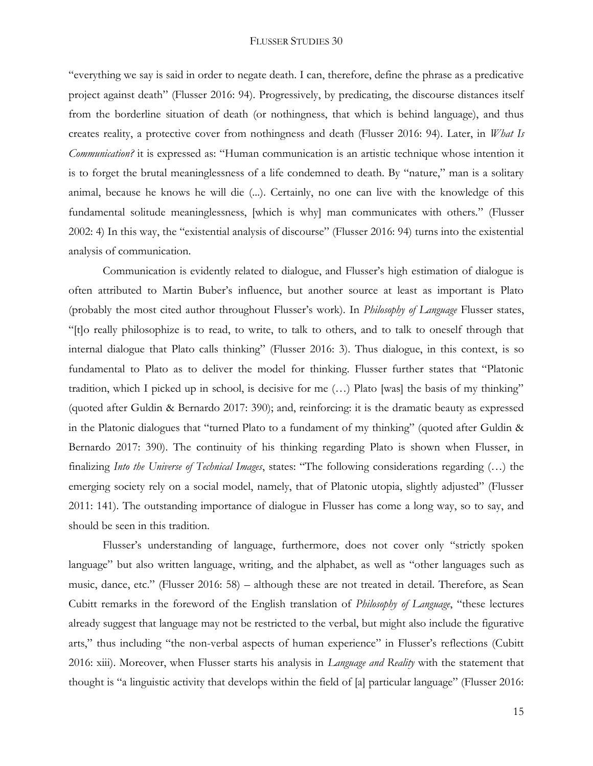"everything we say is said in order to negate death. I can, therefore, define the phrase as a predicative project against death" (Flusser 2016: 94). Progressively, by predicating, the discourse distances itself from the borderline situation of death (or nothingness, that which is behind language), and thus creates reality, a protective cover from nothingness and death (Flusser 2016: 94). Later, in *What Is Communication?* it is expressed as: "Human communication is an artistic technique whose intention it is to forget the brutal meaninglessness of a life condemned to death. By "nature," man is a solitary animal, because he knows he will die (...). Certainly, no one can live with the knowledge of this fundamental solitude meaninglessness, [which is why] man communicates with others." (Flusser 2002: 4) In this way, the "existential analysis of discourse" (Flusser 2016: 94) turns into the existential analysis of communication.

Communication is evidently related to dialogue, and Flusser's high estimation of dialogue is often attributed to Martin Buber's influence, but another source at least as important is Plato (probably the most cited author throughout Flusser's work). In *Philosophy of Language* Flusser states, "[t]o really philosophize is to read, to write, to talk to others, and to talk to oneself through that internal dialogue that Plato calls thinking" (Flusser 2016: 3). Thus dialogue, in this context, is so fundamental to Plato as to deliver the model for thinking. Flusser further states that "Platonic tradition, which I picked up in school, is decisive for me (…) Plato [was] the basis of my thinking" (quoted after Guldin & Bernardo 2017: 390); and, reinforcing: it is the dramatic beauty as expressed in the Platonic dialogues that "turned Plato to a fundament of my thinking" (quoted after Guldin & Bernardo 2017: 390). The continuity of his thinking regarding Plato is shown when Flusser, in finalizing *Into the Universe of Technical Images*, states: "The following considerations regarding (…) the emerging society rely on a social model, namely, that of Platonic utopia, slightly adjusted" (Flusser 2011: 141). The outstanding importance of dialogue in Flusser has come a long way, so to say, and should be seen in this tradition.

Flusser's understanding of language, furthermore, does not cover only "strictly spoken language" but also written language, writing, and the alphabet, as well as "other languages such as music, dance, etc." (Flusser 2016: 58) – although these are not treated in detail. Therefore, as Sean Cubitt remarks in the foreword of the English translation of *Philosophy of Language*, "these lectures already suggest that language may not be restricted to the verbal, but might also include the figurative arts," thus including "the non-verbal aspects of human experience" in Flusser's reflections (Cubitt 2016: xiii). Moreover, when Flusser starts his analysis in *Language and Reality* with the statement that thought is "a linguistic activity that develops within the field of [a] particular language" (Flusser 2016: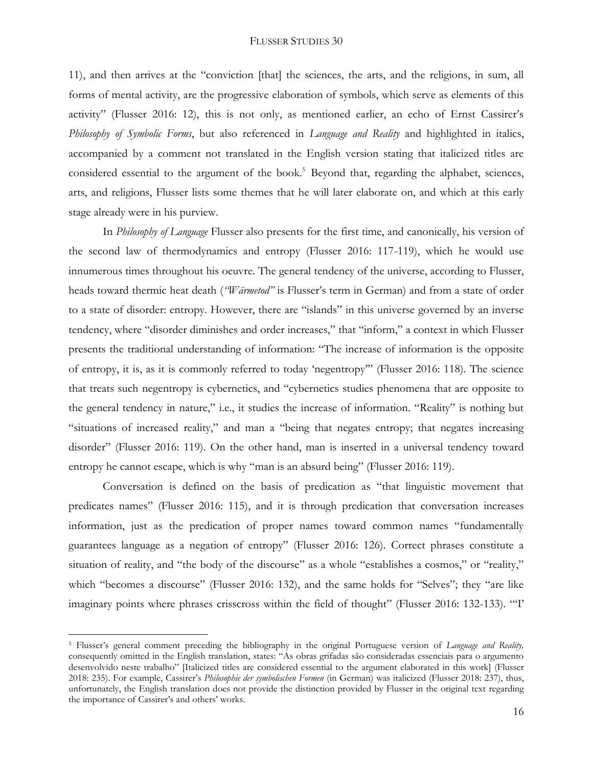11), and then arrives at the "conviction [that] the sciences, the arts, and the religions, in sum, all forms of mental activity, are the progressive elaboration of symbols, which serve as elements of this activity" (Flusser 2016: 12), this is not only, as mentioned earlier, an echo of Ernst Cassirer's *Philosophy of Symbolic Forms*, but also referenced in *Language and Reality* and highlighted in italics, accompanied by a comment not translated in the English version stating that italicized titles are considered essential to the argument of the book.<sup>5</sup> Beyond that, regarding the alphabet, sciences, arts, and religions, Flusser lists some themes that he will later elaborate on, and which at this early stage already were in his purview.

In *Philosophy of Language* Flusser also presents for the first time, and canonically, his version of the second law of thermodynamics and entropy (Flusser 2016: 117-119), which he would use innumerous times throughout his oeuvre. The general tendency of the universe, according to Flusser, heads toward thermic heat death (*"Wärmetod"* is Flusser's term in German) and from a state of order to a state of disorder: entropy. However, there are "islands" in this universe governed by an inverse tendency, where "disorder diminishes and order increases," that "inform," a context in which Flusser presents the traditional understanding of information: "The increase of information is the opposite of entropy, it is, as it is commonly referred to today 'negentropy'" (Flusser 2016: 118). The science that treats such negentropy is cybernetics, and "cybernetics studies phenomena that are opposite to the general tendency in nature," i.e., it studies the increase of information. "Reality" is nothing but "situations of increased reality," and man a "being that negates entropy; that negates increasing disorder" (Flusser 2016: 119). On the other hand, man is inserted in a universal tendency toward entropy he cannot escape, which is why "man is an absurd being" (Flusser 2016: 119).

Conversation is defined on the basis of predication as "that linguistic movement that predicates names" (Flusser 2016: 115), and it is through predication that conversation increases information, just as the predication of proper names toward common names "fundamentally guarantees language as a negation of entropy" (Flusser 2016: 126). Correct phrases constitute a situation of reality, and "the body of the discourse" as a whole "establishes a cosmos," or "reality," which "becomes a discourse" (Flusser 2016: 132), and the same holds for "Selves"; they "are like imaginary points where phrases crisscross within the field of thought" (Flusser 2016: 132-133). "'I'

<sup>5</sup> Flusser's general comment preceding the bibliography in the original Portuguese version of *Language and Reality,*  consequently omitted in the English translation, states: "As obras grifadas são consideradas essenciais para o argumento desenvolvido neste trabalho" [Italicized titles are considered essential to the argument elaborated in this work] (Flusser 2018: 235). For example, Cassirer's *Philosophie der symbolischen Formen* (in German) was italicized (Flusser 2018: 237), thus, unfortunately, the English translation does not provide the distinction provided by Flusser in the original text regarding the importance of Cassirer's and others' works.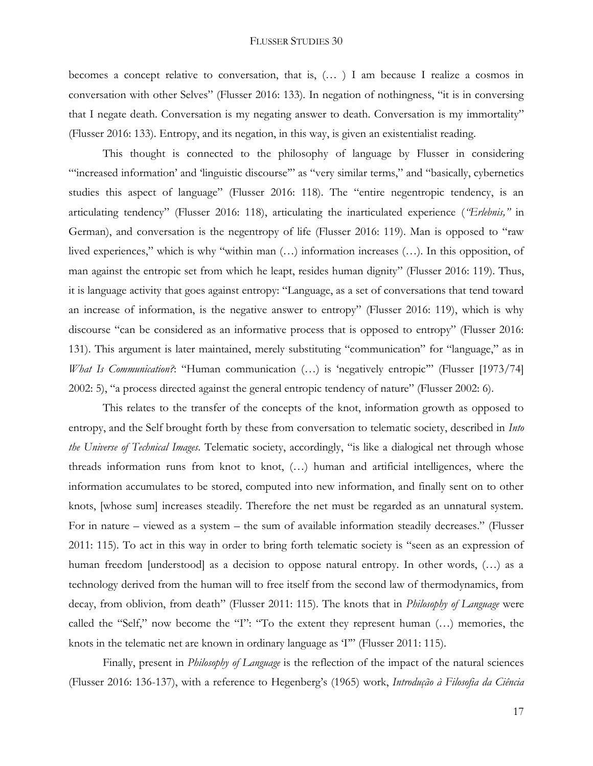becomes a concept relative to conversation, that is, (… ) I am because I realize a cosmos in conversation with other Selves" (Flusser 2016: 133). In negation of nothingness, "it is in conversing that I negate death. Conversation is my negating answer to death. Conversation is my immortality" (Flusser 2016: 133). Entropy, and its negation, in this way, is given an existentialist reading.

This thought is connected to the philosophy of language by Flusser in considering "'increased information' and 'linguistic discourse'" as "very similar terms," and "basically, cybernetics studies this aspect of language" (Flusser 2016: 118). The "entire negentropic tendency, is an articulating tendency" (Flusser 2016: 118), articulating the inarticulated experience (*"Erlebnis,"* in German), and conversation is the negentropy of life (Flusser 2016: 119). Man is opposed to "raw lived experiences," which is why "within man (...) information increases (...). In this opposition, of man against the entropic set from which he leapt, resides human dignity" (Flusser 2016: 119). Thus, it is language activity that goes against entropy: "Language, as a set of conversations that tend toward an increase of information, is the negative answer to entropy" (Flusser 2016: 119), which is why discourse "can be considered as an informative process that is opposed to entropy" (Flusser 2016: 131). This argument is later maintained, merely substituting "communication" for "language," as in *What Is Communication?*: "Human communication (...) is 'negatively entropic" (Flusser [1973/74] 2002: 5), "a process directed against the general entropic tendency of nature" (Flusser 2002: 6).

This relates to the transfer of the concepts of the knot, information growth as opposed to entropy, and the Self brought forth by these from conversation to telematic society, described in *Into the Universe of Technical Images*. Telematic society, accordingly, "is like a dialogical net through whose threads information runs from knot to knot, (…) human and artificial intelligences, where the information accumulates to be stored, computed into new information, and finally sent on to other knots, [whose sum] increases steadily. Therefore the net must be regarded as an unnatural system. For in nature – viewed as a system – the sum of available information steadily decreases." (Flusser 2011: 115). To act in this way in order to bring forth telematic society is "seen as an expression of human freedom [understood] as a decision to oppose natural entropy. In other words,  $(...)$  as a technology derived from the human will to free itself from the second law of thermodynamics, from decay, from oblivion, from death" (Flusser 2011: 115). The knots that in *Philosophy of Language* were called the "Self," now become the "I": "To the extent they represent human (…) memories, the knots in the telematic net are known in ordinary language as 'I'" (Flusser 2011: 115).

Finally, present in *Philosophy of Language* is the reflection of the impact of the natural sciences (Flusser 2016: 136-137), with a reference to Hegenberg's (1965) work, *Introdução à Filosofia da Ciência*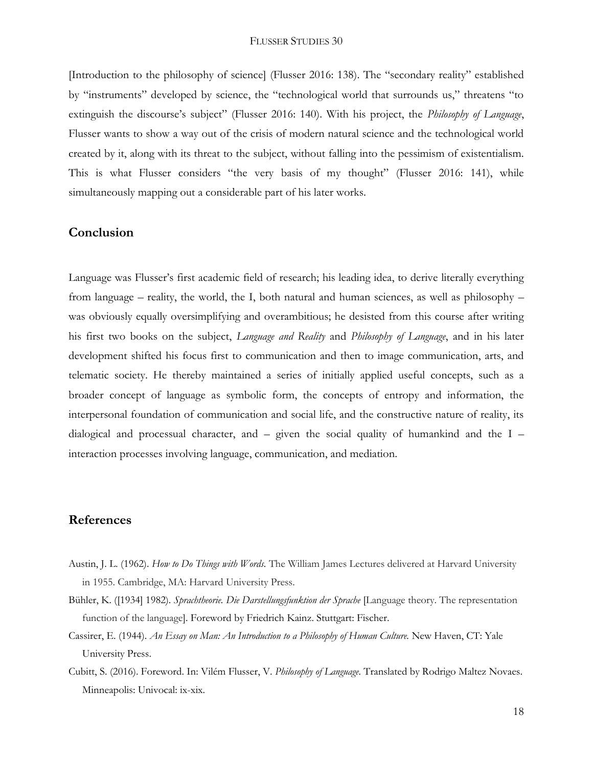[Introduction to the philosophy of science] (Flusser 2016: 138). The "secondary reality" established by "instruments" developed by science, the "technological world that surrounds us," threatens "to extinguish the discourse's subject" (Flusser 2016: 140). With his project, the *Philosophy of Language*, Flusser wants to show a way out of the crisis of modern natural science and the technological world created by it, along with its threat to the subject, without falling into the pessimism of existentialism. This is what Flusser considers "the very basis of my thought" (Flusser 2016: 141), while simultaneously mapping out a considerable part of his later works.

## **Conclusion**

Language was Flusser's first academic field of research; his leading idea, to derive literally everything from language – reality, the world, the I, both natural and human sciences, as well as philosophy – was obviously equally oversimplifying and overambitious; he desisted from this course after writing his first two books on the subject, *Language and Reality* and *Philosophy of Language*, and in his later development shifted his focus first to communication and then to image communication, arts, and telematic society. He thereby maintained a series of initially applied useful concepts, such as a broader concept of language as symbolic form, the concepts of entropy and information, the interpersonal foundation of communication and social life, and the constructive nature of reality, its dialogical and processual character, and  $-$  given the social quality of humankind and the I  $$ interaction processes involving language, communication, and mediation.

### **References**

- Austin, J. L. (1962). *How to Do Things with Words.* The William James Lectures delivered at Harvard University in 1955. Cambridge, MA: Harvard University Press.
- Bühler, K. ([1934] 1982). *Sprachtheorie. Die Darstellungsfunktion der Sprache* [Language theory. The representation function of the language]. Foreword by Friedrich Kainz. Stuttgart: Fischer.
- Cassirer, E. (1944). *An Essay on Man: An Introduction to a Philosophy of Human Culture.* New Haven, CT: Yale University Press.
- Cubitt, S. (2016). Foreword. In: Vilém Flusser, V. *Philosophy of Language.* Translated by Rodrigo Maltez Novaes. Minneapolis: Univocal: ix-xix.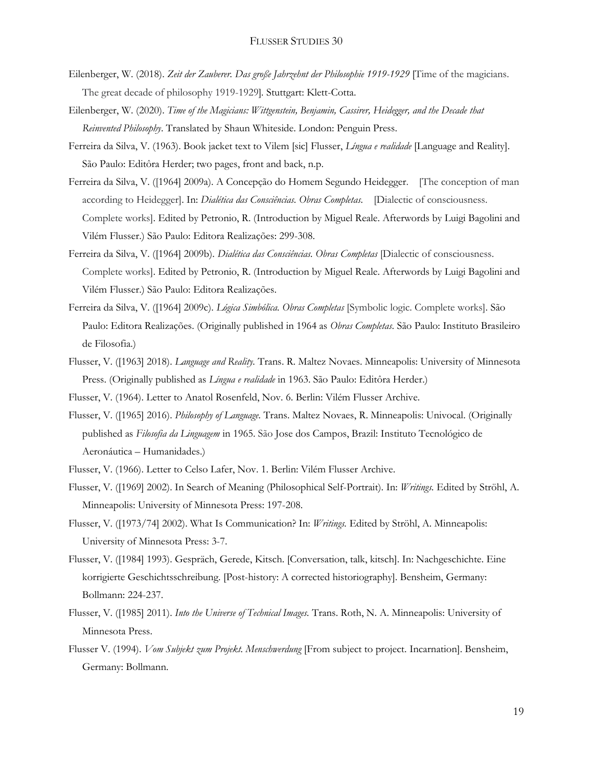- Eilenberger, W. (2018). *Zeit der Zauberer. Das große Jahrzehnt der Philosophie 1919-1929* [Time of the magicians. The great decade of philosophy 1919-1929]*.* Stuttgart: Klett-Cotta.
- Eilenberger, W. (2020). *Time of the Magicians: Wittgenstein, Benjamin, Cassirer, Heidegger, and the Decade that Reinvented Philosophy*. Translated by Shaun Whiteside. London: Penguin Press.
- Ferreira da Silva, V. (1963). Book jacket text to Vilem [sic] Flusser, *Língua e realidade* [Language and Reality]. São Paulo: Editôra Herder; two pages, front and back, n.p.
- Ferreira da Silva, V. ([1964] 2009a). A Concepção do Homem Segundo Heidegger. [The conception of man according to Heidegger]. In: *Dialética das Consciências. Obras Completas.* [Dialectic of consciousness. Complete works]. Edited by Petronio, R. (Introduction by Miguel Reale. Afterwords by Luigi Bagolini and Vilém Flusser.) São Paulo: Editora Realizações: 299-308.
- Ferreira da Silva, V. ([1964] 2009b). *Dialética das Consciências. Obras Completas* [Dialectic of consciousness. Complete works]. Edited by Petronio, R. (Introduction by Miguel Reale. Afterwords by Luigi Bagolini and Vilém Flusser.) São Paulo: Editora Realizações.
- Ferreira da Silva, V. ([1964] 2009c). *Lógica Simbólica. Obras Completas* [Symbolic logic. Complete works]. São Paulo: Editora Realizações. (Originally published in 1964 as *Obras Completas*. São Paulo: Instituto Brasileiro de Filosofia.)
- Flusser, V. ([1963] 2018). *Language and Reality.* Trans. R. Maltez Novaes. Minneapolis: University of Minnesota Press. (Originally published as *Língua e realidade* in 1963. São Paulo: Editôra Herder.)

Flusser, V. (1964). Letter to Anatol Rosenfeld, Nov. 6. Berlin: Vilém Flusser Archive.

- Flusser, V. ([1965] 2016). *Philosophy of Language.* Trans. Maltez Novaes, R. Minneapolis: Univocal. (Originally published as *Filosofia da Linguagem* in 1965. São Jose dos Campos, Brazil: Instituto Tecnológico de Aeronáutica – Humanidades.)
- Flusser, V. (1966). Letter to Celso Lafer, Nov. 1. Berlin: Vilém Flusser Archive.
- Flusser, V. ([1969] 2002). In Search of Meaning (Philosophical Self-Portrait). In: *Writings.* Edited by Ströhl, A. Minneapolis: University of Minnesota Press: 197-208.
- Flusser, V. ([1973/74] 2002). What Is Communication? In: *Writings.* Edited by Ströhl, A. Minneapolis: University of Minnesota Press: 3-7.
- Flusser, V. ([1984] 1993). Gespräch, Gerede, Kitsch. [Conversation, talk, kitsch]. In: Nachgeschichte. Eine korrigierte Geschichtsschreibung. [Post-history: A corrected historiography]. Bensheim, Germany: Bollmann: 224-237.
- Flusser, V. ([1985] 2011). *Into the Universe of Technical Images.* Trans. Roth, N. A. Minneapolis: University of Minnesota Press.
- Flusser V. (1994). *Vom Subjekt zum Projekt. Menschwerdung* [From subject to project. Incarnation]. Bensheim, Germany: Bollmann.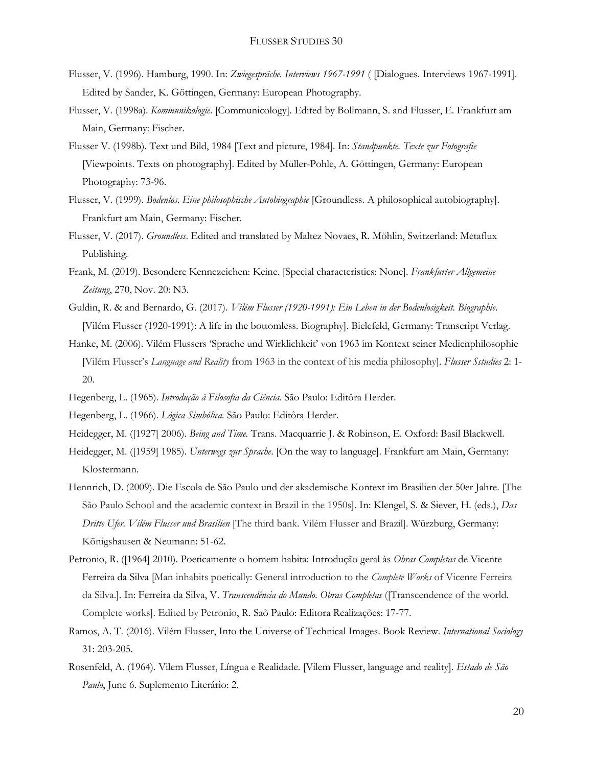- Flusser, V. (1996). Hamburg, 1990. In: *Zwiegespräche. Interviews 1967-1991* ( [Dialogues. Interviews 1967-1991]. Edited by Sander, K. Göttingen, Germany: European Photography.
- Flusser, V. (1998a). *Kommunikologie*. [Communicology]. Edited by Bollmann, S. and Flusser, E. Frankfurt am Main, Germany: Fischer.
- Flusser V. (1998b). Text und Bild, 1984 [Text and picture, 1984]. In: *Standpunkte. Texte zur Fotografie* [Viewpoints. Texts on photography]. Edited by Müller-Pohle, A. Göttingen, Germany: European Photography: 73-96.
- Flusser, V. (1999). *Bodenlos. Eine philosophische Autobiographie* [Groundless. A philosophical autobiography]. Frankfurt am Main, Germany: Fischer.
- Flusser, V. (2017). *Groundless*. Edited and translated by Maltez Novaes, R. Möhlin, Switzerland: Metaflux Publishing.
- Frank, M. (2019). Besondere Kennezeichen: Keine. [Special characteristics: None]. *Frankfurter Allgemeine Zeitung*, 270, Nov. 20: N3.
- Guldin, R. & and Bernardo, G. (2017). *Vilém Flusser (1920-1991): Ein Leben in der Bodenlosigkeit. Biographie.* [Vilém Flusser (1920-1991): A life in the bottomless. Biography]. Bielefeld, Germany: Transcript Verlag.
- Hanke, M. (2006). Vilém Flussers 'Sprache und Wirklichkeit' von 1963 im Kontext seiner Medienphilosophie [Vilém Flusser's *Language and Reality* from 1963 in the context of his media philosophy]. *Flusser Sstudies* 2: 1- 20.
- Hegenberg, L. (1965). *Introdução à Filosofia da Ciência.* São Paulo: Editôra Herder.
- Hegenberg, L. (1966). *Lógica Simbólica.* São Paulo: Editôra Herder.
- Heidegger, M. ([1927] 2006). *Being and Time.* Trans. Macquarrie J. & Robinson, E. Oxford: Basil Blackwell.
- Heidegger, M. ([1959] 1985). *Unterwegs zur Sprache*. [On the way to language]. Frankfurt am Main, Germany: Klostermann.
- Hennrich, D. (2009). Die Escola de São Paulo und der akademische Kontext im Brasilien der 50er Jahre. [The São Paulo School and the academic context in Brazil in the 1950s]. In: Klengel, S. & Siever, H. (eds.), *Das Dritte Ufer. Vilém Flusser und Brasilien* [The third bank. Vilém Flusser and Brazil]. Würzburg, Germany: Königshausen & Neumann: 51-62.
- Petronio, R. ([1964] 2010). Poeticamente o homem habita: Introdução geral às *Obras Completas* de Vicente Ferreira da Silva [Man inhabits poetically: General introduction to the *Complete Works* of Vicente Ferreira da Silva.]. In: Ferreira da Silva, V. *Transcendência do Mundo. Obras Completas* ([Transcendence of the world. Complete works]. Edited by Petronio, R. Saõ Paulo: Editora Realizações: 17-77.
- Ramos, A. T. (2016). Vilém Flusser, Into the Universe of Technical Images. Book Review. *International Sociology* 31: 203-205.
- Rosenfeld, A. (1964). Vilem Flusser, Língua e Realidade. [Vilem Flusser, language and reality]. *Estado de São Paulo*, June 6. Suplemento Literário: 2.